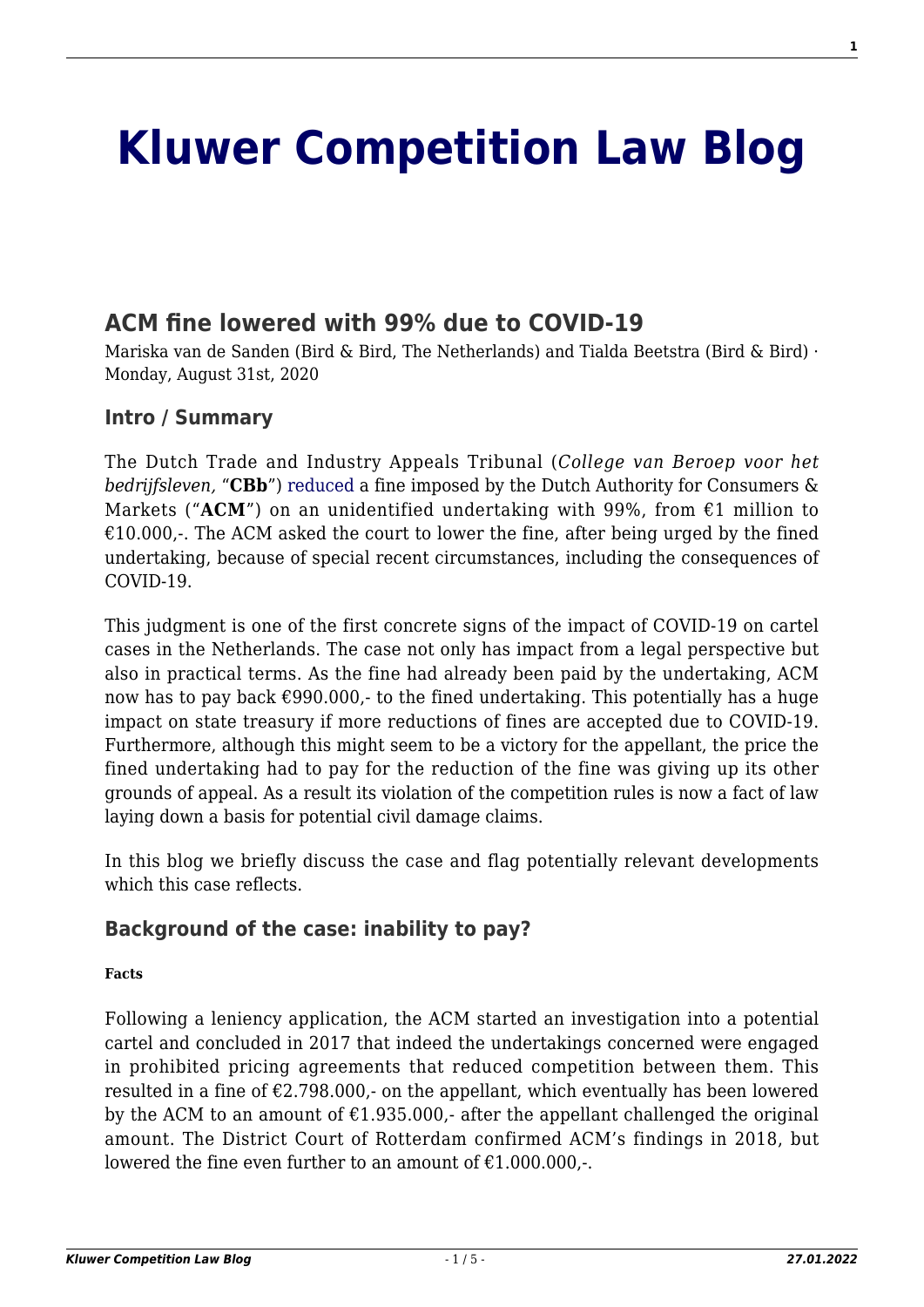# **[Kluwer Competition Law Blog](http://competitionlawblog.kluwercompetitionlaw.com/)**

# **[ACM fine lowered with 99% due to COVID-19](http://competitionlawblog.kluwercompetitionlaw.com/2020/08/31/acm-fine-lowered-with-99-due-to-covid-19/)**

Mariska van de Sanden (Bird & Bird, The Netherlands) and Tialda Beetstra (Bird & Bird) · Monday, August 31st, 2020

## **Intro / Summary**

The Dutch Trade and Industry Appeals Tribunal (*College van Beroep voor het bedrijfsleven,* "**CBb**") [reduced](https://uitspraken.rechtspraak.nl/inziendocument?id=ECLI:NL:CBB:2020:559) a fine imposed by the Dutch Authority for Consumers & Markets (" $ACM$ ") on an unidentified undertaking with 99%, from  $\epsilon$ 1 million to  $£10.000$ . The ACM asked the court to lower the fine, after being urged by the fined undertaking, because of special recent circumstances, including the consequences of COVID-19.

This judgment is one of the first concrete signs of the impact of COVID-19 on cartel cases in the Netherlands. The case not only has impact from a legal perspective but also in practical terms. As the fine had already been paid by the undertaking, ACM now has to pay back  $\epsilon$ 990.000,- to the fined undertaking. This potentially has a huge impact on state treasury if more reductions of fines are accepted due to COVID-19. Furthermore, although this might seem to be a victory for the appellant, the price the fined undertaking had to pay for the reduction of the fine was giving up its other grounds of appeal. As a result its violation of the competition rules is now a fact of law laying down a basis for potential civil damage claims.

In this blog we briefly discuss the case and flag potentially relevant developments which this case reflects.

## **Background of the case: inability to pay?**

### **Facts**

Following a leniency application, the ACM started an investigation into a potential cartel and concluded in 2017 that indeed the undertakings concerned were engaged in prohibited pricing agreements that reduced competition between them. This resulted in a fine of  $\epsilon$ 2.798.000,- on the appellant, which eventually has been lowered by the ACM to an amount of  $£1.935.000$ . after the appellant challenged the original amount. The District Court of Rotterdam confirmed ACM's findings in 2018, but lowered the fine even further to an amount of  $£1.000.000.$ -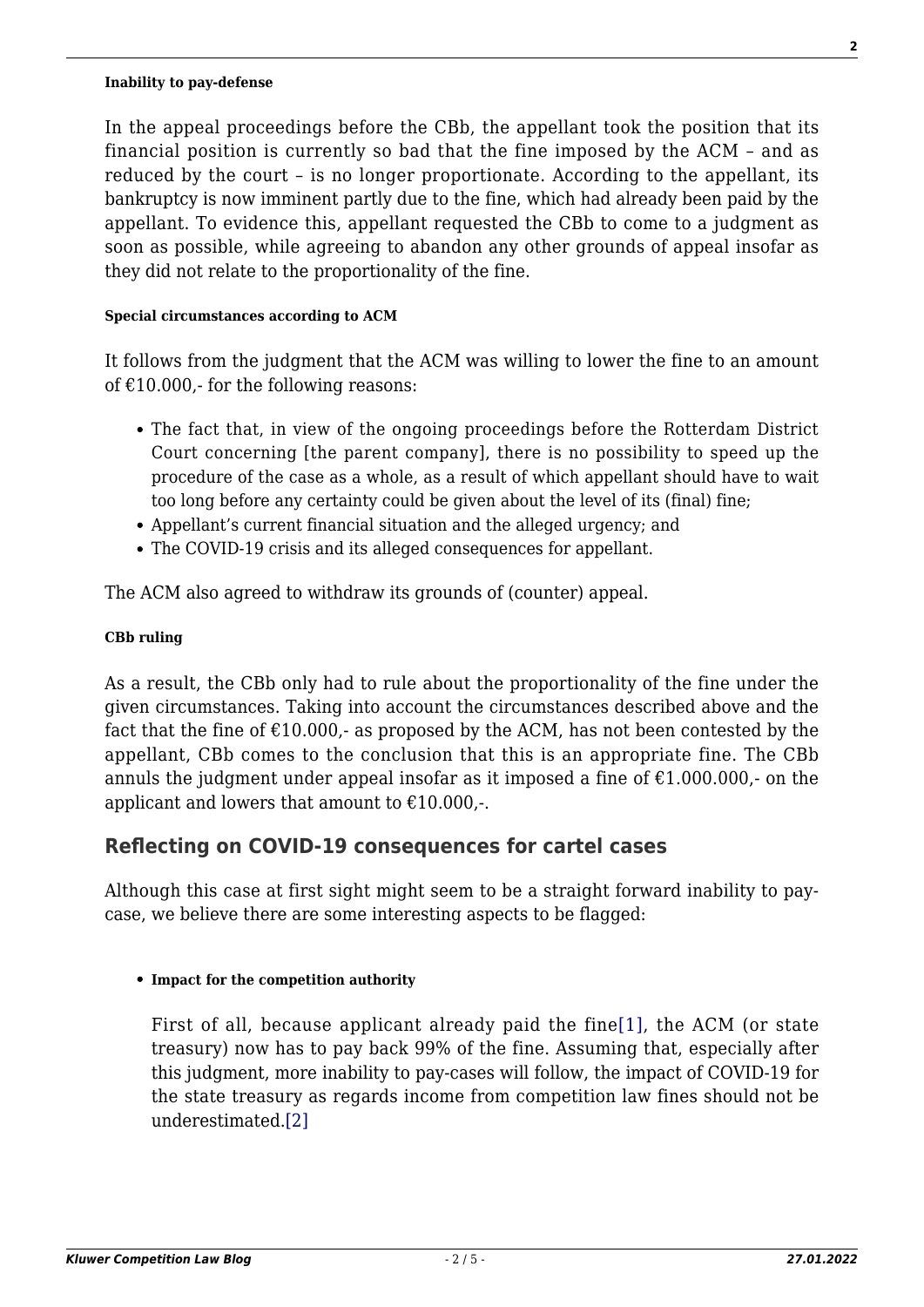#### **Inability to pay-defense**

In the appeal proceedings before the CBb, the appellant took the position that its financial position is currently so bad that the fine imposed by the ACM – and as reduced by the court – is no longer proportionate. According to the appellant, its bankruptcy is now imminent partly due to the fine, which had already been paid by the appellant. To evidence this, appellant requested the CBb to come to a judgment as soon as possible, while agreeing to abandon any other grounds of appeal insofar as they did not relate to the proportionality of the fine.

#### **Special circumstances according to ACM**

It follows from the judgment that the ACM was willing to lower the fine to an amount of  $£10.000$ , for the following reasons:

- The fact that, in view of the ongoing proceedings before the Rotterdam District Court concerning [the parent company], there is no possibility to speed up the procedure of the case as a whole, as a result of which appellant should have to wait too long before any certainty could be given about the level of its (final) fine;
- Appellant's current financial situation and the alleged urgency; and
- The COVID-19 crisis and its alleged consequences for appellant.

The ACM also agreed to withdraw its grounds of (counter) appeal.

## **CBb ruling**

As a result, the CBb only had to rule about the proportionality of the fine under the given circumstances. Taking into account the circumstances described above and the fact that the fine of  $\epsilon$ 10.000,- as proposed by the ACM, has not been contested by the appellant, CBb comes to the conclusion that this is an appropriate fine. The CBb annuls the judgment under appeal insofar as it imposed a fine of  $\text{\textsterling}1.000.000$ , on the applicant and lowers that amount to  $£10.000,$ .

## **Reflecting on COVID-19 consequences for cartel cases**

Although this case at first sight might seem to be a straight forward inability to paycase, we believe there are some interesting aspects to be flagged:

### <span id="page-1-0"></span>**Impact for the competition authority**

<span id="page-1-1"></span>First of all, because applicant already paid the fine[\[1\],](#page-2-0) the ACM (or state treasury) now has to pay back 99% of the fine. Assuming that, especially after this judgment, more inability to pay-cases will follow, the impact of COVID-19 for the state treasury as regards income from competition law fines should not be underestimated.[\[2\]](#page-3-0)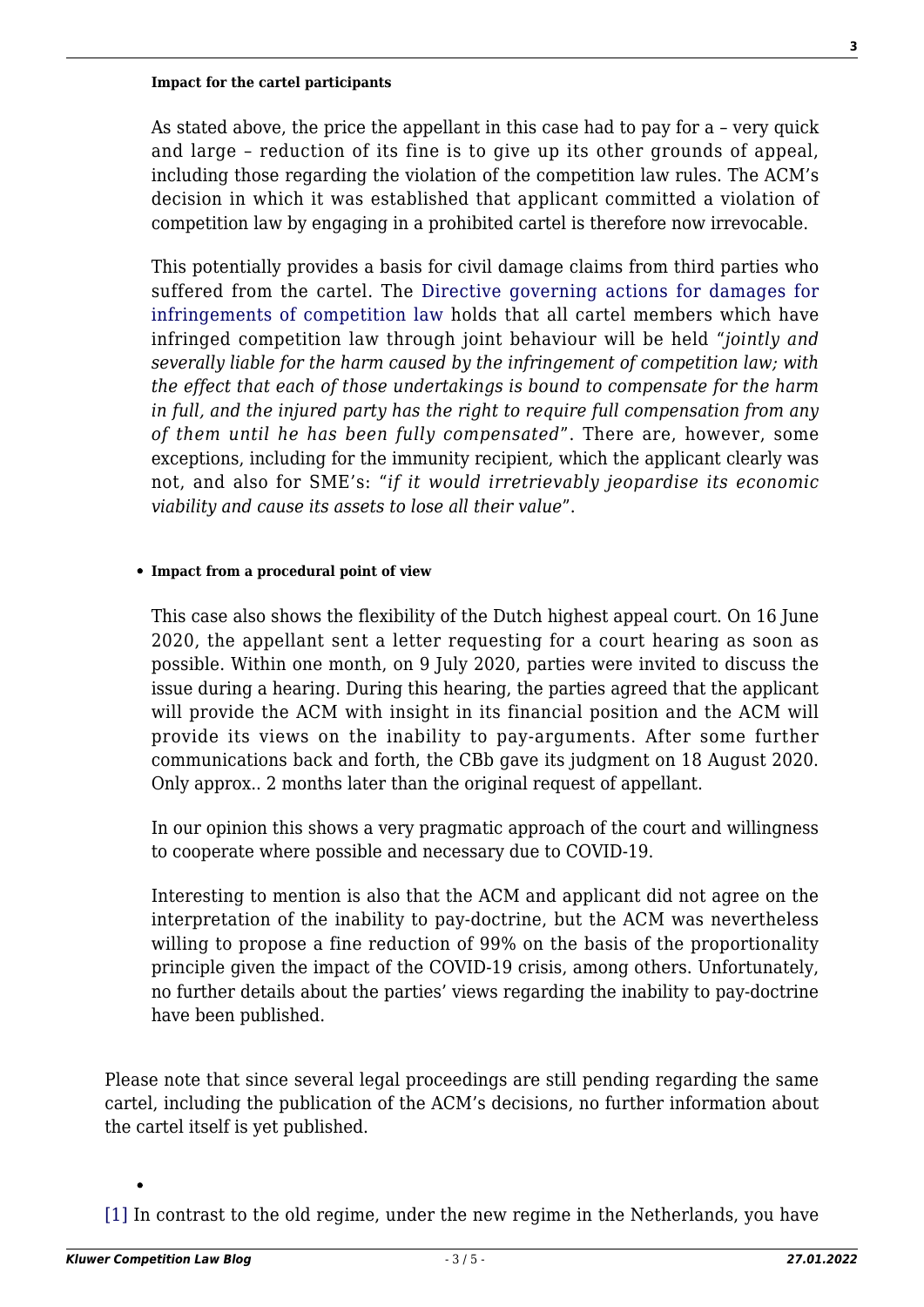#### **Impact for the cartel participants**

As stated above, the price the appellant in this case had to pay for a – very quick and large – reduction of its fine is to give up its other grounds of appeal, including those regarding the violation of the competition law rules. The ACM's decision in which it was established that applicant committed a violation of competition law by engaging in a prohibited cartel is therefore now irrevocable.

This potentially provides a basis for civil damage claims from third parties who suffered from the cartel. The [Directive governing actions for damages for](https://eur-lex.europa.eu/legal-content/EN/TXT/PDF/?uri=CELEX:32014L0104&from=en) [infringements of competition law](https://eur-lex.europa.eu/legal-content/EN/TXT/PDF/?uri=CELEX:32014L0104&from=en) holds that all cartel members which have infringed competition law through joint behaviour will be held "*jointly and severally liable for the harm caused by the infringement of competition law; with the effect that each of those undertakings is bound to compensate for the harm in full, and the injured party has the right to require full compensation from any of them until he has been fully compensated*". There are, however, some exceptions, including for the immunity recipient, which the applicant clearly was not, and also for SME's: "*if it would irretrievably jeopardise its economic viability and cause its assets to lose all their value*".

#### **Impact from a procedural point of view**

This case also shows the flexibility of the Dutch highest appeal court. On 16 June 2020, the appellant sent a letter requesting for a court hearing as soon as possible. Within one month, on 9 July 2020, parties were invited to discuss the issue during a hearing. During this hearing, the parties agreed that the applicant will provide the ACM with insight in its financial position and the ACM will provide its views on the inability to pay-arguments. After some further communications back and forth, the CBb gave its judgment on 18 August 2020. Only approx.. 2 months later than the original request of appellant.

In our opinion this shows a very pragmatic approach of the court and willingness to cooperate where possible and necessary due to COVID-19.

Interesting to mention is also that the ACM and applicant did not agree on the interpretation of the inability to pay-doctrine, but the ACM was nevertheless willing to propose a fine reduction of 99% on the basis of the proportionality principle given the impact of the COVID-19 crisis, among others. Unfortunately, no further details about the parties' views regarding the inability to pay-doctrine have been published.

Please note that since several legal proceedings are still pending regarding the same cartel, including the publication of the ACM's decisions, no further information about the cartel itself is yet published.

<span id="page-2-0"></span>[\[1\]](#page-1-0) In contrast to the old regime, under the new regime in the Netherlands, you have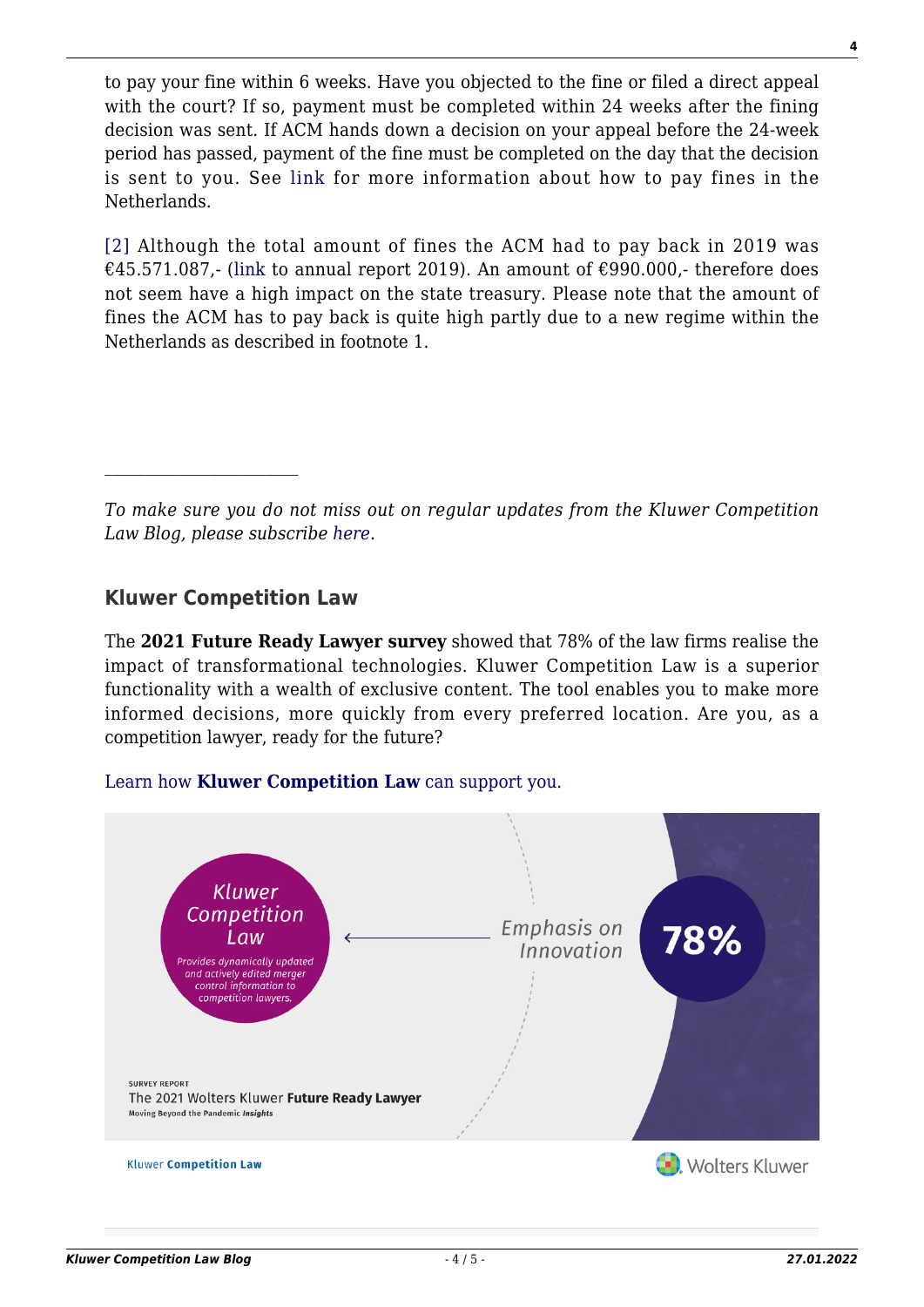to pay your fine within 6 weeks. Have you objected to the fine or filed a direct appeal with the court? If so, payment must be completed within 24 weeks after the fining decision was sent. If ACM hands down a decision on your appeal before the 24-week period has passed, payment of the fine must be completed on the day that the decision is sent to you. See [link](https://www.acm.nl/en/about-acm-mission-and-strategy/information-companies-and-individuals-how-pay-fines) for more information about how to pay fines in the Netherlands.

<span id="page-3-0"></span>[\[2\]](#page-1-1) Although the total amount of fines the ACM had to pay back in 2019 was €45.571.087,- ([link](https://www.acm.nl/sites/default/files/documents/2020-03/jaarverslag-acm-2019.pdf) to annual report 2019). An amount of €990.000,- therefore does not seem have a high impact on the state treasury. Please note that the amount of fines the ACM has to pay back is quite high partly due to a new regime within the Netherlands as described in footnote 1.

*To make sure you do not miss out on regular updates from the Kluwer Competition Law Blog, please subscribe [here.](http://competitionlawblog.kluwercompetitionlaw.com/newsletter/)*

# **Kluwer Competition Law**

The **2021 Future Ready Lawyer survey** showed that 78% of the law firms realise the impact of transformational technologies. Kluwer Competition Law is a superior functionality with a wealth of exclusive content. The tool enables you to make more informed decisions, more quickly from every preferred location. Are you, as a competition lawyer, ready for the future?

## [Learn how](https://www.wolterskluwer.com/en/solutions/kluwercompetitionlaw?utm_source=competitionlawblog&utm_medium=articleCTA&utm_campaign=article-banner) **[Kluwer Competition Law](https://www.wolterskluwer.com/en/solutions/kluwercompetitionlaw?utm_source=competitionlawblog&utm_medium=articleCTA&utm_campaign=article-banner)** [can support you.](https://www.wolterskluwer.com/en/solutions/kluwercompetitionlaw?utm_source=competitionlawblog&utm_medium=articleCTA&utm_campaign=article-banner)